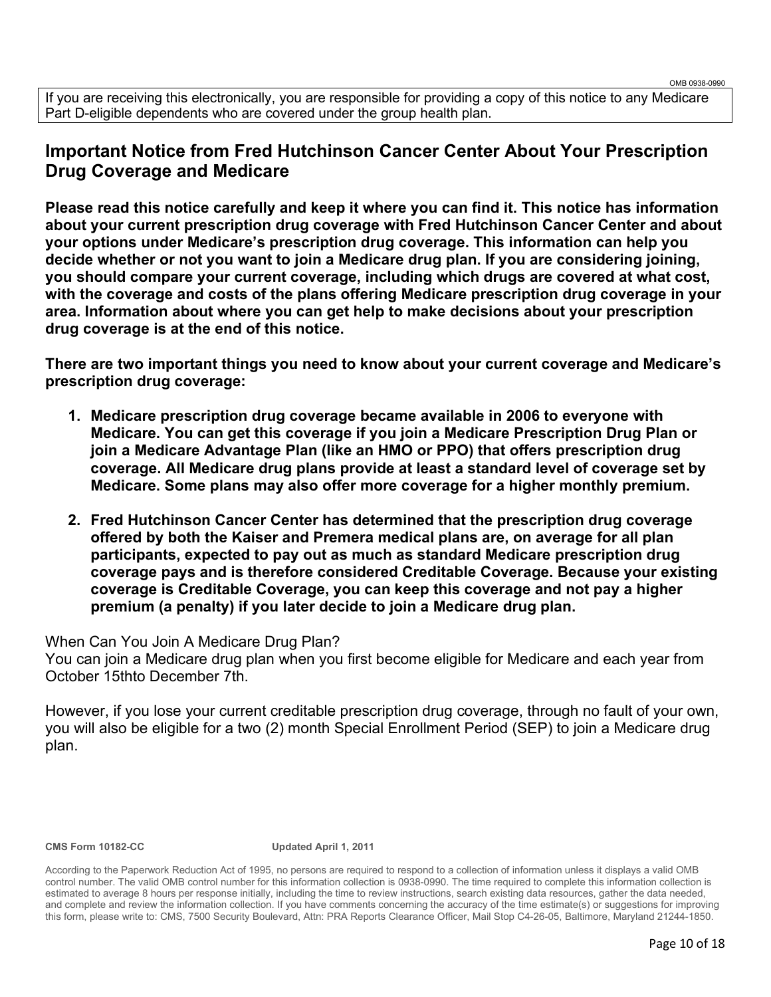If you are receiving this electronically, you are responsible for providing a copy of this notice to any Medicare Part D-eligible dependents who are covered under the group health plan.

# **Important Notice from Fred Hutchinson Cancer Center About Your Prescription Drug Coverage and Medicare**

**Please read this notice carefully and keep it where you can find it. This notice has information about your current prescription drug coverage with Fred Hutchinson Cancer Center and about your options under Medicare's prescription drug coverage. This information can help you decide whether or not you want to join a Medicare drug plan. If you are considering joining, you should compare your current coverage, including which drugs are covered at what cost, with the coverage and costs of the plans offering Medicare prescription drug coverage in your area. Information about where you can get help to make decisions about your prescription drug coverage is at the end of this notice.** 

**There are two important things you need to know about your current coverage and Medicare's prescription drug coverage:** 

- **1. Medicare prescription drug coverage became available in 2006 to everyone with Medicare. You can get this coverage if you join a Medicare Prescription Drug Plan or join a Medicare Advantage Plan (like an HMO or PPO) that offers prescription drug coverage. All Medicare drug plans provide at least a standard level of coverage set by Medicare. Some plans may also offer more coverage for a higher monthly premium.**
- **2. Fred Hutchinson Cancer Center has determined that the prescription drug coverage offered by both the Kaiser and Premera medical plans are, on average for all plan participants, expected to pay out as much as standard Medicare prescription drug coverage pays and is therefore considered Creditable Coverage. Because your existing coverage is Creditable Coverage, you can keep this coverage and not pay a higher premium (a penalty) if you later decide to join a Medicare drug plan.**

When Can You Join A Medicare Drug Plan?

You can join a Medicare drug plan when you first become eligible for Medicare and each year from October 15thto December 7th.

However, if you lose your current creditable prescription drug coverage, through no fault of your own, you will also be eligible for a two (2) month Special Enrollment Period (SEP) to join a Medicare drug plan.

**CMS Form 10182-CC Updated April 1, 2011** 

According to the Paperwork Reduction Act of 1995, no persons are required to respond to a collection of information unless it displays a valid OMB control number. The valid OMB control number for this information collection is 0938-0990. The time required to complete this information collection is estimated to average 8 hours per response initially, including the time to review instructions, search existing data resources, gather the data needed, and complete and review the information collection. If you have comments concerning the accuracy of the time estimate(s) or suggestions for improving this form, please write to: CMS, 7500 Security Boulevard, Attn: PRA Reports Clearance Officer, Mail Stop C4-26-05, Baltimore, Maryland 21244-1850.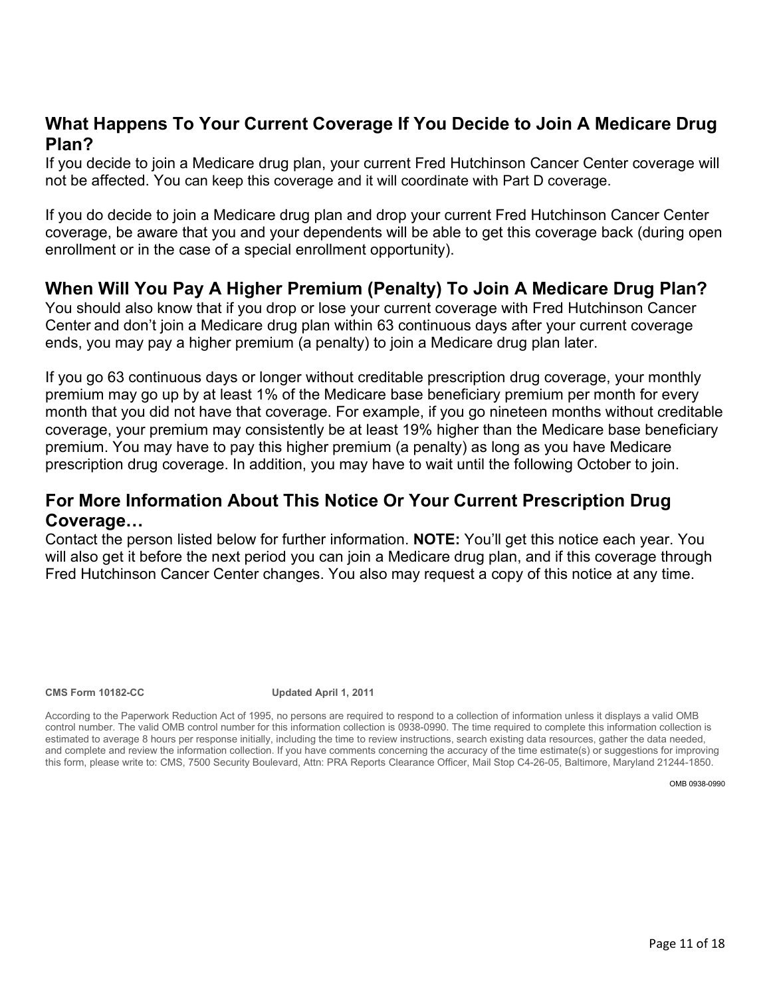### **What Happens To Your Current Coverage If You Decide to Join A Medicare Drug Plan?**

If you decide to join a Medicare drug plan, your current Fred Hutchinson Cancer Center coverage will not be affected. You can keep this coverage and it will coordinate with Part D coverage.

If you do decide to join a Medicare drug plan and drop your current Fred Hutchinson Cancer Center coverage, be aware that you and your dependents will be able to get this coverage back (during open enrollment or in the case of a special enrollment opportunity).

### **When Will You Pay A Higher Premium (Penalty) To Join A Medicare Drug Plan?**

You should also know that if you drop or lose your current coverage with Fred Hutchinson Cancer Center and don't join a Medicare drug plan within 63 continuous days after your current coverage ends, you may pay a higher premium (a penalty) to join a Medicare drug plan later.

If you go 63 continuous days or longer without creditable prescription drug coverage, your monthly premium may go up by at least 1% of the Medicare base beneficiary premium per month for every month that you did not have that coverage. For example, if you go nineteen months without creditable coverage, your premium may consistently be at least 19% higher than the Medicare base beneficiary premium. You may have to pay this higher premium (a penalty) as long as you have Medicare prescription drug coverage. In addition, you may have to wait until the following October to join.

# **For More Information About This Notice Or Your Current Prescription Drug Coverage…**

Contact the person listed below for further information. **NOTE:** You'll get this notice each year. You will also get it before the next period you can join a Medicare drug plan, and if this coverage through Fred Hutchinson Cancer Center changes. You also may request a copy of this notice at any time.

**CMS Form 10182-CC Updated April 1, 2011** 

According to the Paperwork Reduction Act of 1995, no persons are required to respond to a collection of information unless it displays a valid OMB control number. The valid OMB control number for this information collection is 0938-0990. The time required to complete this information collection is estimated to average 8 hours per response initially, including the time to review instructions, search existing data resources, gather the data needed, and complete and review the information collection. If you have comments concerning the accuracy of the time estimate(s) or suggestions for improving this form, please write to: CMS, 7500 Security Boulevard, Attn: PRA Reports Clearance Officer, Mail Stop C4-26-05, Baltimore, Maryland 21244-1850.

OMB 0938-0990